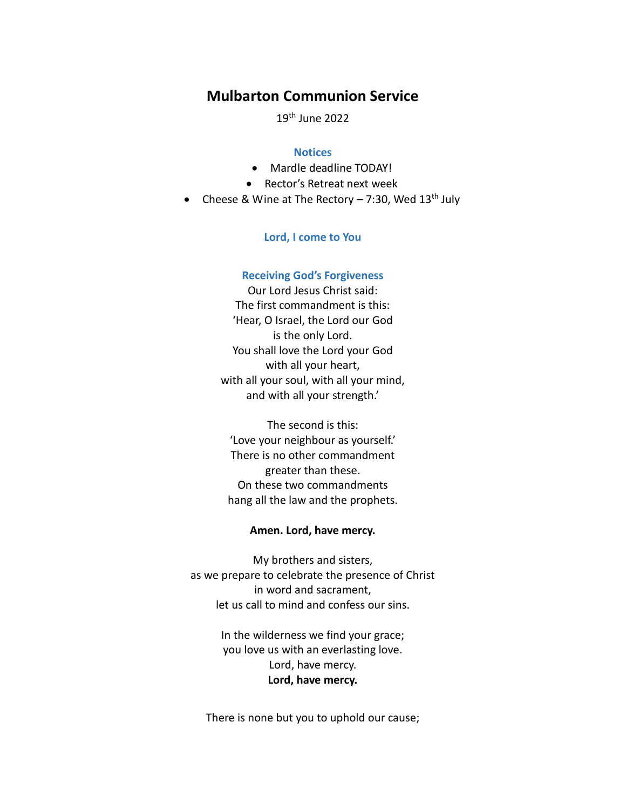# **Mulbarton Communion Service**

19th June 2022

## **Notices**

- Mardle deadline TODAY!
- Rector's Retreat next week
- Cheese & Wine at The Rectory  $-7:30$ , Wed  $13<sup>th</sup>$  July

### **Lord, I come to You**

#### **Receiving God's Forgiveness**

Our Lord Jesus Christ said: The first commandment is this: 'Hear, O Israel, the Lord our God is the only Lord. You shall love the Lord your God with all your heart, with all your soul, with all your mind, and with all your strength.'

The second is this: 'Love your neighbour as yourself.' There is no other commandment greater than these. On these two commandments hang all the law and the prophets.

### **Amen. Lord, have mercy.**

My brothers and sisters, as we prepare to celebrate the presence of Christ in word and sacrament, let us call to mind and confess our sins.

> In the wilderness we find your grace; you love us with an everlasting love. Lord, have mercy. **Lord, have mercy.**

There is none but you to uphold our cause;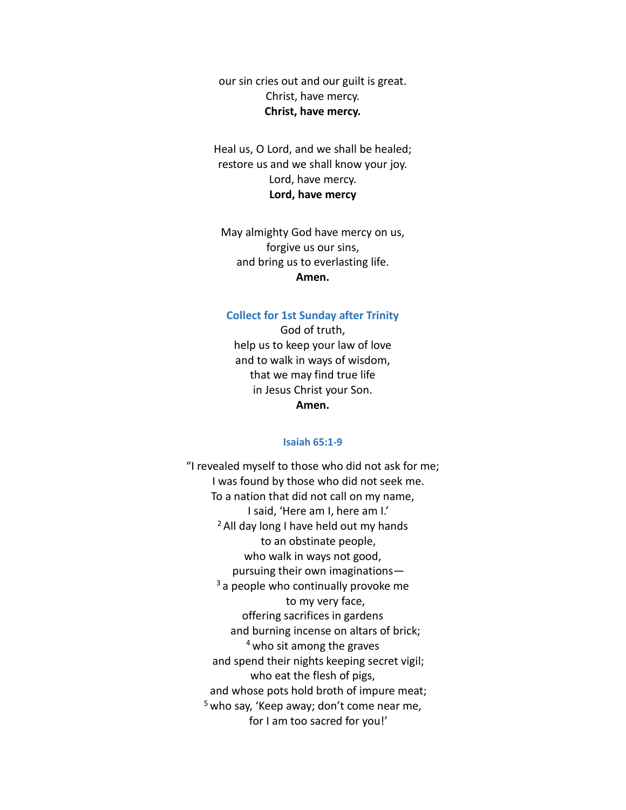our sin cries out and our guilt is great. Christ, have mercy. **Christ, have mercy.**

Heal us, O Lord, and we shall be healed; restore us and we shall know your joy. Lord, have mercy. **Lord, have mercy**

May almighty God have mercy on us, forgive us our sins, and bring us to everlasting life. **Amen.**

## **Collect for 1st Sunday after Trinity**

God of truth, help us to keep your law of love and to walk in ways of wisdom, that we may find true life in Jesus Christ your Son. **Amen.**

#### **Isaiah 65:1-9**

"I revealed myself to those who did not ask for me; I was found by those who did not seek me. To a nation that did not call on my name, I said, 'Here am I, here am I.'  $<sup>2</sup>$  All day long I have held out my hands</sup> to an obstinate people, who walk in ways not good, pursuing their own imaginations— <sup>3</sup> a people who continually provoke me to my very face, offering sacrifices in gardens and burning incense on altars of brick; <sup>4</sup> who sit among the graves and spend their nights keeping secret vigil; who eat the flesh of pigs, and whose pots hold broth of impure meat;  $5$  who say, 'Keep away; don't come near me, for I am too sacred for you!'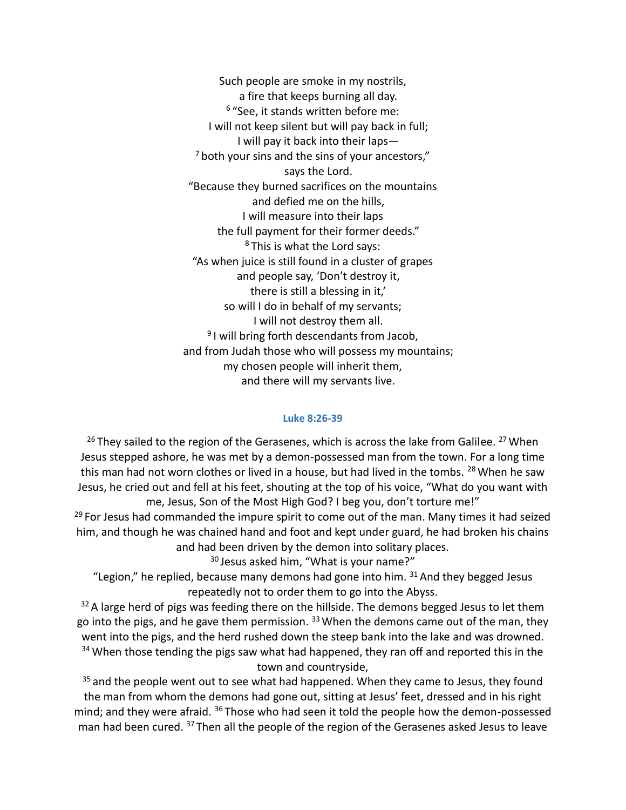Such people are smoke in my nostrils, a fire that keeps burning all day. 6 "See, it stands written before me: I will not keep silent but will pay back in full; I will pay it back into their laps—  $<sup>7</sup>$  both your sins and the sins of your ancestors,"</sup> says the Lord. "Because they burned sacrifices on the mountains and defied me on the hills, I will measure into their laps the full payment for their former deeds." <sup>8</sup> This is what the Lord says: "As when juice is still found in a cluster of grapes and people say, 'Don't destroy it, there is still a blessing in it,' so will I do in behalf of my servants; I will not destroy them all. <sup>9</sup>I will bring forth descendants from Jacob, and from Judah those who will possess my mountains; my chosen people will inherit them, and there will my servants live.

#### **Luke 8:26-39**

 $26$  They sailed to the region of the Gerasenes, which is across the lake from Galilee.  $27$  When Jesus stepped ashore, he was met by a demon-possessed man from the town. For a long time this man had not worn clothes or lived in a house, but had lived in the tombs. <sup>28</sup> When he saw Jesus, he cried out and fell at his feet, shouting at the top of his voice, "What do you want with me, Jesus, Son of the Most High God? I beg you, don't torture me!"

 $29$  For Jesus had commanded the impure spirit to come out of the man. Many times it had seized him, and though he was chained hand and foot and kept under guard, he had broken his chains and had been driven by the demon into solitary places.

<sup>30</sup> Jesus asked him, "What is your name?"

"Legion," he replied, because many demons had gone into him.  $31$  And they begged Jesus repeatedly not to order them to go into the Abyss.

 $32$  A large herd of pigs was feeding there on the hillside. The demons begged Jesus to let them go into the pigs, and he gave them permission. <sup>33</sup> When the demons came out of the man, they went into the pigs, and the herd rushed down the steep bank into the lake and was drowned.  $34$  When those tending the pigs saw what had happened, they ran off and reported this in the town and countryside,

 $35$  and the people went out to see what had happened. When they came to Jesus, they found the man from whom the demons had gone out, sitting at Jesus' feet, dressed and in his right mind; and they were afraid. <sup>36</sup> Those who had seen it told the people how the demon-possessed man had been cured. <sup>37</sup> Then all the people of the region of the Gerasenes asked Jesus to leave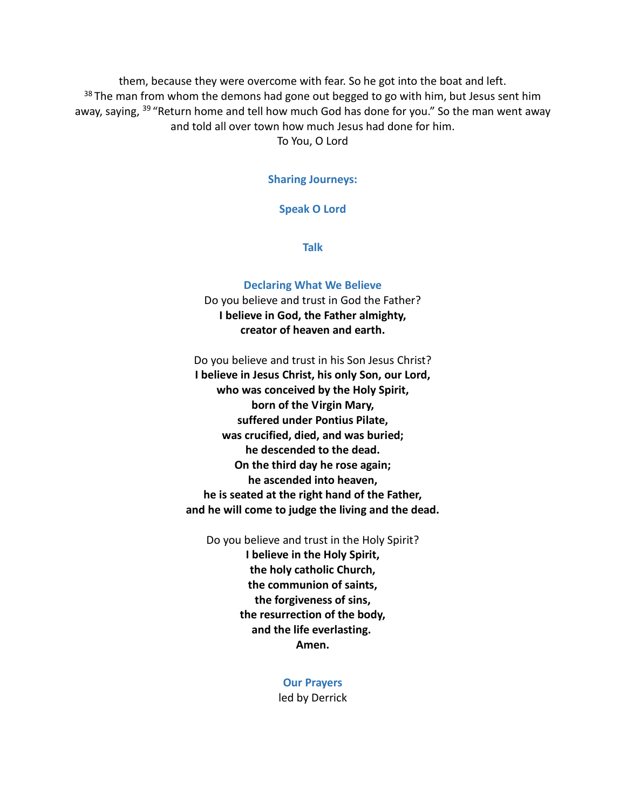them, because they were overcome with fear. So he got into the boat and left. <sup>38</sup> The man from whom the demons had gone out begged to go with him, but Jesus sent him away, saying, <sup>39</sup> "Return home and tell how much God has done for you." So the man went away and told all over town how much Jesus had done for him.

To You, O Lord

## **Sharing Journeys:**

### **Speak O Lord**

**Talk**

#### **Declaring What We Believe**

Do you believe and trust in God the Father? **I believe in God, the Father almighty, creator of heaven and earth.**

Do you believe and trust in his Son Jesus Christ? **I believe in Jesus Christ, his only Son, our Lord, who was conceived by the Holy Spirit, born of the Virgin Mary, suffered under Pontius Pilate, was crucified, died, and was buried; he descended to the dead. On the third day he rose again; he ascended into heaven, he is seated at the right hand of the Father, and he will come to judge the living and the dead.**

Do you believe and trust in the Holy Spirit? **I believe in the Holy Spirit, the holy catholic Church, the communion of saints, the forgiveness of sins, the resurrection of the body, and the life everlasting. Amen.**

> **Our Prayers** led by Derrick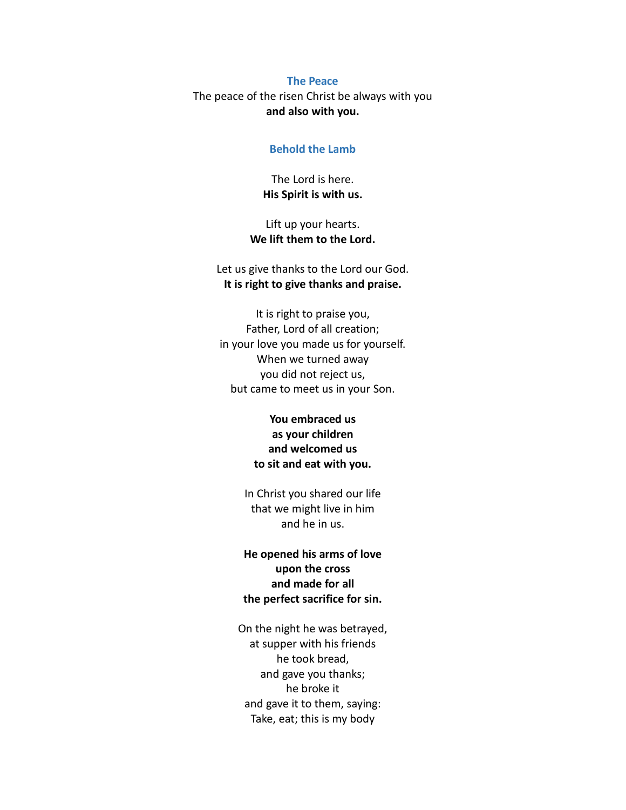#### **The Peace**

The peace of the risen Christ be always with you **and also with you.**

#### **Behold the Lamb**

The Lord is here. **His Spirit is with us.**

Lift up your hearts. **We lift them to the Lord.**

Let us give thanks to the Lord our God. **It is right to give thanks and praise.**

It is right to praise you, Father, Lord of all creation; in your love you made us for yourself. When we turned away you did not reject us, but came to meet us in your Son.

> **You embraced us as your children and welcomed us to sit and eat with you.**

In Christ you shared our life that we might live in him and he in us.

# **He opened his arms of love upon the cross and made for all the perfect sacrifice for sin.**

On the night he was betrayed, at supper with his friends he took bread, and gave you thanks; he broke it and gave it to them, saying: Take, eat; this is my body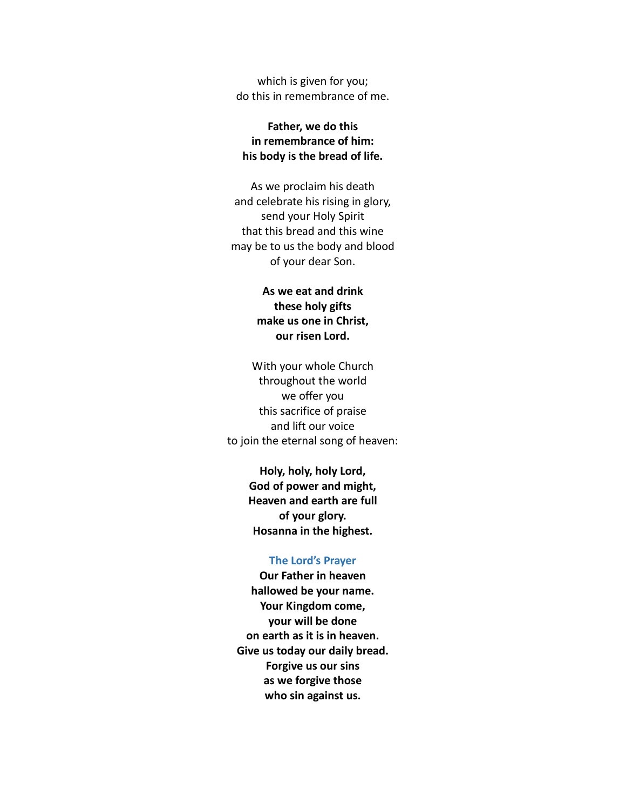which is given for you; do this in remembrance of me.

# **Father, we do this in remembrance of him: his body is the bread of life.**

As we proclaim his death and celebrate his rising in glory, send your Holy Spirit that this bread and this wine may be to us the body and blood of your dear Son.

# **As we eat and drink these holy gifts make us one in Christ, our risen Lord.**

With your whole Church throughout the world we offer you this sacrifice of praise and lift our voice to join the eternal song of heaven:

> **Holy, holy, holy Lord, God of power and might, Heaven and earth are full of your glory. Hosanna in the highest.**

#### **The Lord's Prayer**

**Our Father in heaven hallowed be your name. Your Kingdom come, your will be done on earth as it is in heaven. Give us today our daily bread. Forgive us our sins as we forgive those who sin against us.**